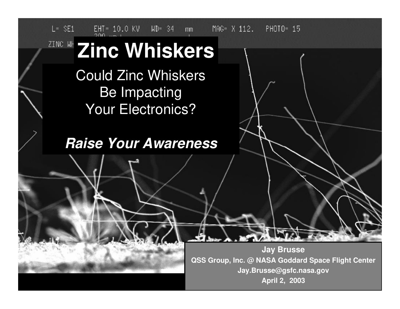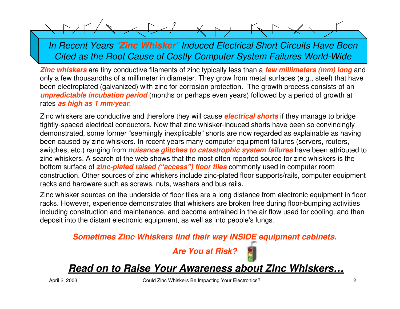$\sim$  /

*In Recent Years "Zinc Whisker" Induced Electrical Short Circuits Have Been Cited as the Root Cause of Costly Computer System Failures World-Wide*

*Zinc whiskers* are tiny conductive filaments of zinc typically less than a *few millimeters (mm) long* and only a few thousandths of a millimeter in diameter. They grow from metal surfaces (e.g., steel) that have been electroplated (galvanized) with zinc for corrosion protection. The growth process consists of an *unpredictable incubation period* (months or perhaps even years) followed by a period of growth at rates *as high as 1 mm/year*.

Zinc whiskers are conductive and therefore they will cause *electrical shorts* if they manage to bridge tightly-spaced electrical conductors. Now that zinc whisker-induced shorts have been so convincingly demonstrated, some former "seemingly inexplicable" shorts are now regarded as explainable as having been caused by zinc whiskers. In recent years many computer equipment failures (servers, routers, switches, etc.) ranging from *nuisance glitches to catastrophic system failures* have been attributed to zinc whiskers. A search of the web shows that the most often reported source for zinc whiskers is the bottom surface of *zinc-plated raised ("access") floor tiles* commonly used in computer room construction. Other sources of zinc whiskers include zinc-plated floor supports/rails, computer equipment racks and hardware such as screws, nuts, washers and bus rails.

Zinc whisker sources on the underside of floor tiles are a long distance from electronic equipment in floor racks. However, experience demonstrates that whiskers are broken free during floor-bumping activities including construction and maintenance, and become entrained in the air flow used for cooling, and then deposit into the distant electronic equipment, as well as into people's lungs.

*Sometimes Zinc Whiskers find their way INSIDE equipment cabinets.*



*Read on to Raise Your Awareness about Zinc Whiskers…*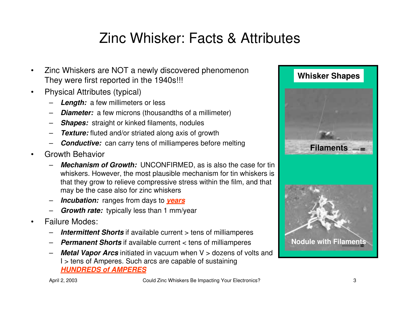# Zinc Whisker: Facts & Attributes

- Zinc Whiskers are NOT a newly discovered phenomenon They were first reported in the 1940s!!!
- Physical Attributes (typical)
	- **Length:** a few millimeters or less
	- **Diameter:** a few microns (thousandths of a millimeter)
	- *Shapes:* straight or kinked filaments, nodules
	- *Texture:* fluted and/or striated along axis of growth
	- **Conductive:** can carry tens of milliamperes before melting
- Growth Behavior
	- **Mechanism of Growth:** UNCONFIRMED, as is also the case for tin whiskers. However, the most plausible mechanism for tin whiskers is that they grow to relieve compressive stress within the film, and that may be the case also for zinc whiskers
	- *Incubation:* ranges from days to *years*
	- *Growth rate:* typically less than 1 mm/year
- Failure Modes:
	- **Intermittent Shorts** if available current > tens of milliamperes
	- *Permanent Shorts* if available current < tens of milliamperes
	- **Metal Vapor Arcs** initiated in vacuum when V > dozens of volts and I > tens of Amperes. Such arcs are capable of sustaining *HUNDREDS of AMPERES*

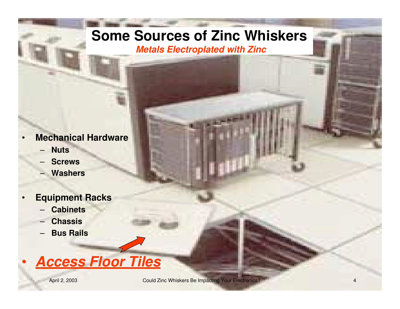## **Some Sources of Zinc Whiskers**

*Metals Electroplated with Zinc*

- **Mechanical Hardware**
	- **Nuts**
	- **Screws**
	- **Washers**
- **Equipment Racks**
	- **Cabinets**
	- **Chassis**
	- **Bus Rails**

# • *Access Floor Tiles*

April 2, 2003 **Could Zinc Whiskers Be Impacting Your Electronics? CALL 2003 April 2, 2003 April 2, 2003**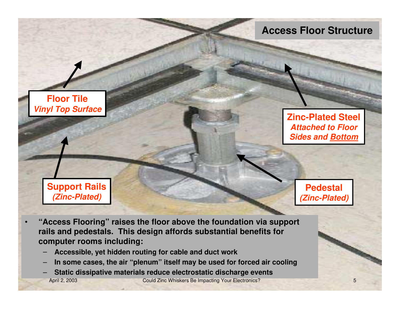#### **Access Floor Structure**

**Floor Tile** *Vinyl Top Surface*

> **Support Rails** *(Zinc-Plated)*

**Zinc-Plated Steel** *Attached to Floor Sides and Bottom*

> **Pedestal** *(Zinc-Plated)*

- **"Access Flooring" raises the floor above the foundation via support rails and pedestals. This design affords substantial benefits for computer rooms including:**
	- **Accessible, yet hidden routing for cable and duct work**
	- **In some cases, the air "plenum" itself may be used for forced air cooling**
	- **Static dissipative materials reduce electrostatic discharge events**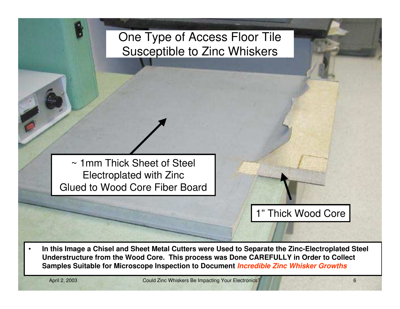## One Type of Access Floor Tile Susceptible to Zinc Whiskers

~ 1mm Thick Sheet of Steel Electroplated with Zinc Glued to Wood Core Fiber Board

1" Thick Wood Core

• **In this Image a Chisel and Sheet Metal Cutters were Used to Separate the Zinc-Electroplated Steel Understructure from the Wood Core. This process was Done CAREFULLY in Order to Collect Samples Suitable for Microscope Inspection to Document** *Incredible Zinc Whisker Growths*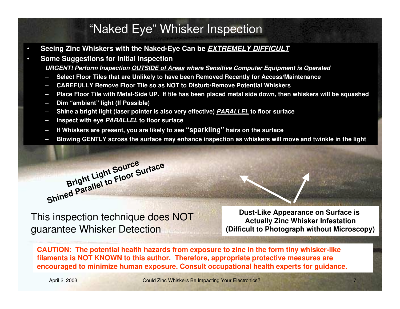#### "Naked Eye" Whisker Inspection

- **Seeing Zinc Whiskers with the Naked-Eye Can be** *EXTREMELY DIFFICULT*
- **Some Suggestions for Initial Inspection** *URGENT! Perform Inspection OUTSIDE of Areas where Sensitive Computer Equipment is Operated*
	- **Select Floor Tiles that are Unlikely to have been Removed Recently for Access/Maintenance**
	- **CAREFULLY Remove Floor Tile so as NOT to Disturb/Remove Potential Whiskers**
	- **Place Floor Tile with Metal-Side UP. If tile has been placed metal side down, then whiskers will be squashed**
	- **Dim "ambient" light (If Possible)**
	- **Shine a bright light (laser pointer is also very effective)** *PARALLEL* **to floor surface**
	- **Inspect with eye** *PARALLEL* **to floor surface**
	- **If Whiskers are present, you are likely to see "sparkling" hairs on the surface**
	- **Blowing GENTLY across the surface may enhance inspection as whiskers will move and twinkle in the light**



This inspection technique does NOT guarantee Whisker Detection

**Dust-Like Appearance on Surface is Actually Zinc Whisker Infestation (Difficult to Photograph without Microscopy)**

**CAUTION: The potential health hazards from exposure to zinc in the form tiny whisker-like filaments is NOT KNOWN to this author. Therefore, appropriate protective measures are encouraged to minimize human exposure. Consult occupational health experts for guidance.**

April 2, 2003 **Could Zinc Whiskers Be Impacting Your Electronics?** 7 **7**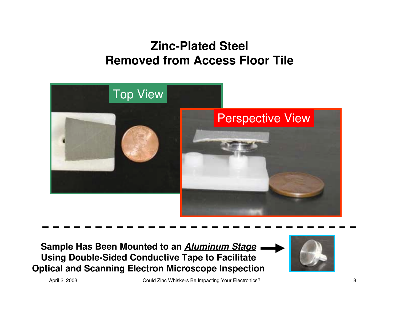## **Zinc-Plated Steel Removed from Access Floor Tile**



**Sample Has Been Mounted to an** *Aluminum Stage* **Using Double-Sided Conductive Tape to Facilitate Optical and Scanning Electron Microscope Inspection**



April 2, 2003 Could Zinc Whiskers Be Impacting Your Electronics? 88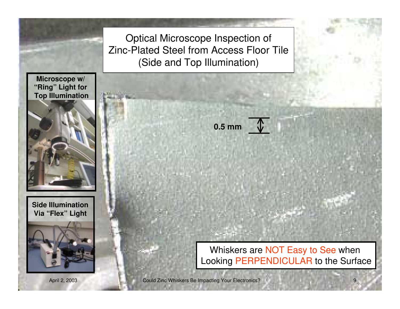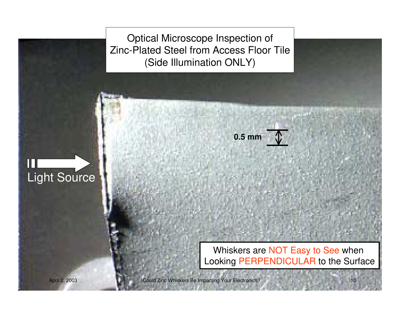Optical Microscope Inspection of Zinc-Plated Steel from Access Floor Tile (Side Illumination ONLY)

#### $\blacksquare$ Light Source

Whiskers are NOT Easy to See when Looking PERPENDICULAR to the Surface

**0.5 mm**

April 2, 2003 **Could Zinc Whiskers Be Impacting Your Electronics?** 10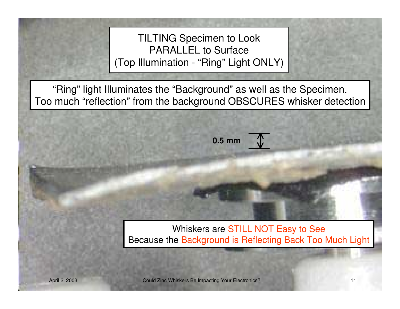TILTING Specimen to Look PARALLEL to Surface (Top Illumination - "Ring" Light ONLY)

"Ring" light Illuminates the "Background" as well as the Specimen. Too much "reflection" from the background OBSCURES whisker detection

**0.5 mm**

Whiskers are STILL NOT Easy to See Because the Background is Reflecting Back Too Much Light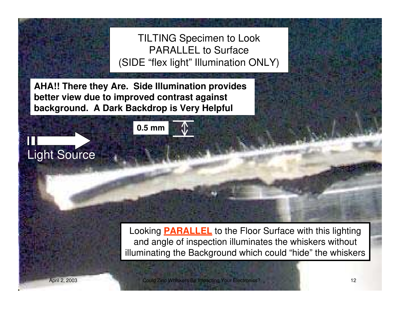TILTING Specimen to Look PARALLEL to Surface (SIDE "flex light" Illumination ONLY)

**AHA!! There they Are. Side Illumination provides better view due to improved contrast against background. A Dark Backdrop is Very Helpful**

**0.5 mm**

Looking **PARALLEL** to the Floor Surface with this lighting and angle of inspection illuminates the whiskers without illuminating the Background which could "hide" the whiskers

Light Source

April 2, 2003 **Could Zinc Whiskers Be Impacting Your Electronics?** 12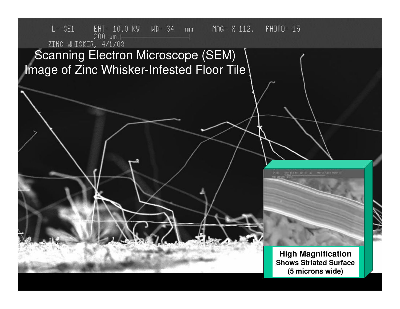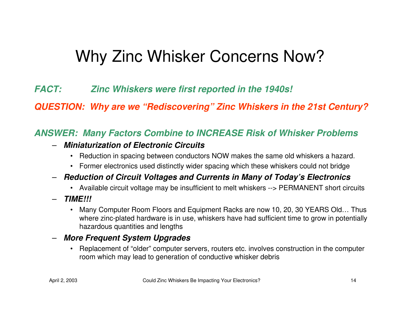# Why Zinc Whisker Concerns Now?

*FACT: Zinc Whiskers were first reported in the 1940s!*

*QUESTION: Why are we "Rediscovering" Zinc Whiskers in the 21st Century?*

#### *ANSWER: Many Factors Combine to INCREASE Risk of Whisker Problems*

- *Miniaturization of Electronic Circuits*
	- Reduction in spacing between conductors NOW makes the same old whiskers a hazard.
	- Former electronics used distinctly wider spacing which these whiskers could not bridge
- *Reduction of Circuit Voltages and Currents in Many of Today's Electronics*
	- Available circuit voltage may be insufficient to melt whiskers --> PERMANENT short circuits
- *TIME!!!*
	- Many Computer Room Floors and Equipment Racks are now 10, 20, 30 YEARS Old... Thus where zinc-plated hardware is in use, whiskers have had sufficient time to grow in potentially hazardous quantities and lengths
- *More Frequent System Upgrades*
	- Replacement of "older" computer servers, routers etc. involves construction in the computer room which may lead to generation of conductive whisker debris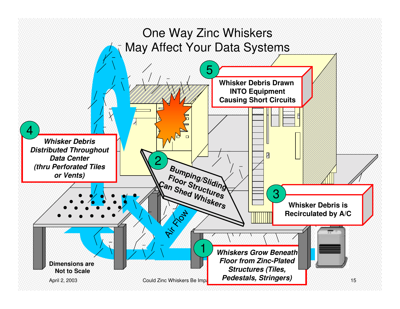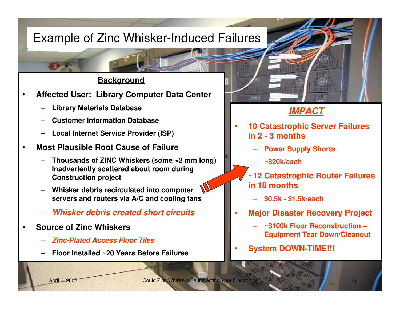## Example of Zinc Whisker-Induced Failures

#### **Background**

- **Affected User: Library Computer Data Center**
	- **Library Materials Database**
	- **Customer Information Database**
	- **Local Internet Service Provider (ISP)**
- **Most Plausible Root Cause of Failure**
	- **Thousands of ZINC Whiskers (some >2 mm long) Inadvertently scattered about room during Construction project**
	- **Whisker debris recirculated into computer servers and routers via A/C and cooling fans**
	- *Whisker debris created short circuits*
- **Source of Zinc Whiskers**
	- *Zinc-Plated Access Floor Tiles*
	- **Floor Installed ~20 Years Before Failures**

#### *IMPACT*

- **10 Catastrophic Server Failures in 2 - 3 months**
	- **Power Supply Shorts**
	- **~\$20k/each**
	- **~12 Catastrophic Router Failures in 18 months**
		- **\$0.5k \$1.5k/each**
- **Major Disaster Recovery Project**
	- **~\$100k Floor Reconstruction + Equipment Tear Down/Cleanout**
- **System DOWN-TIME!!!**

April 2, 2003 Could Zinc Whiskers Be Impacting Your Electronics? 2003 16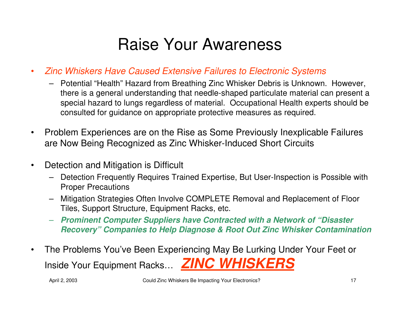# Raise Your Awareness

- *Zinc Whiskers Have Caused Extensive Failures to Electronic Systems*
	- Potential "Health" Hazard from Breathing Zinc Whisker Debris is Unknown. However, there is a general understanding that needle-shaped particulate material can present a special hazard to lungs regardless of material. Occupational Health experts should be consulted for guidance on appropriate protective measures as required.
- Problem Experiences are on the Rise as Some Previously Inexplicable Failures are Now Being Recognized as Zinc Whisker-Induced Short Circuits
- Detection and Mitigation is Difficult
	- Detection Frequently Requires Trained Expertise, But User-Inspection is Possible with Proper Precautions
	- Mitigation Strategies Often Involve COMPLETE Removal and Replacement of Floor Tiles, Support Structure, Equipment Racks, etc.
	- *Prominent Computer Suppliers have Contracted with a Network of "Disaster Recovery" Companies to Help Diagnose & Root Out Zinc Whisker Contamination*
- The Problems You've Been Experiencing May Be Lurking Under Your Feet or Inside Your Equipment Racks… *ZINC WHISKERS*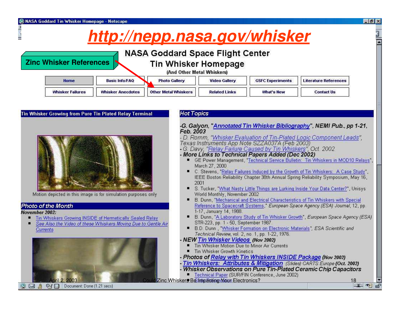**Zinc Whisker References**

# *http://nepp.nasa.gov/whisker*

 $-15x$ 

#### **NASA Goddard Space Flight Center**

**Tin Whisker Homepage** 

(And Other Metal Whiskers)

| Home             | <b>Basic Info/FAQ</b> | <b>Photo Gallery</b>        | <b>Video Gallery</b> | <b>GSFC Experiments</b> | <b>Literature References</b> |
|------------------|-----------------------|-----------------------------|----------------------|-------------------------|------------------------------|
| Whisker Failures | Whisker Anecdotes     | <b>Other Metal Whiskers</b> | <b>Related Links</b> | What's New              | Contact Us                   |

#### Tin Whisker Growing from Pure Tin Plated Relay Terminal **Hot Topics** -G. Galyon, "Annotated Tin Whisker Bibliography", NEMI Pub., pp 1-21, Feb. 2003 - D. Romm, "Whisker Evaluation of Tin-Plated Logic Component Leads", Texas Instruments App Note SZZA037A (Feb 2003) - G. Davy, "Relay Failure Caused by Tin Whiskers", Oct. 2002 - More Links to Technical Papers Added (Dec 2002) • GE Power Management, "Technical Service Bulletin: Tin Whiskers in MOD10 Relays", March 27, 2000 C. Stevens, "Relay Failures Induced by the Growth of Tin Whiskers: A Case Study", IEEE Boston Reliability Chapter 38th Annual Spring Reliability Symposium, May 16. 2001 S. Tucker, "What Nasty Little Things are Lurking Inside Your Data Center?", Unisys Motion depicted in this image is for simulation purposes only World Monthly, November 2002 • B. Dunn, "Mechanical and Electrical Characteristics of Tin Whiskers with Special Reference to Spacecraft Systems," European Space Agency (ESA) Journal, 12, pp. **Photo of the Month** 1-17, January 14, 1988. November 2002: B. Dunn, "A Laboratory Study of Tin Whisker Growth", European Space Agency (ESA) Tin Whiskers Growing INSIDE of Hermetically Sealed Relay STR-223, pp. 1 - 50, September 1987. See Also the Video of these Whiskers Moving Due to Gentle Air B.D. Dunn, "Whisker Formation on Electronic Materials", ESA Scientific and Currents Technical Review, vol. 2, no. 1, pp. 1-22, 1976. - NEW Tin Whisker Videos (Nov 2002) Tin Whisker Motion Due to Minor Air Currents 國 Tin Whisker Growth Kinetics Photos of Relay with Tin Whiskers INSIDE Package (Nov 2002) Tin Whiskers: Attributes & Mitigation (Slides) CARTS Europe (Oct. 2002) Whisker Observations on Pure Tin-Plated Ceramic Chin Canacitors Technical Paper (SUR/FIN Conference, June 2002) April 2, 2003 Could Zinc Whiskers Be Impacting Moun Electronics? 18<br>日息 2 回信 Document: Done (1.21 secs) 1999年10月10日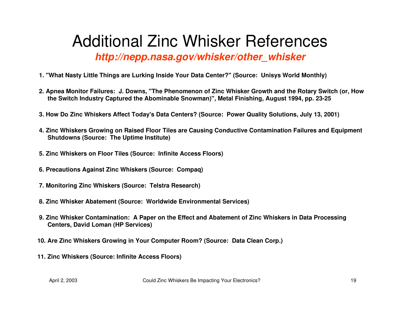## Additional Zinc Whisker References *http://nepp.nasa.gov/whisker/other\_whisker*

- **1. "What Nasty Little Things are Lurking Inside Your Data Center?" (Source: Unisys World Monthly)**
- **2. Apnea Monitor Failures: J. Downs, "The Phenomenon of Zinc Whisker Growth and the Rotary Switch (or, How the Switch Industry Captured the Abominable Snowman)", Metal Finishing, August 1994, pp. 23-25**
- **3. How Do Zinc Whiskers Affect Today's Data Centers? (Source: Power Quality Solutions, July 13, 2001)**
- **4. Zinc Whiskers Growing on Raised Floor Tiles are Causing Conductive Contamination Failures and Equipment Shutdowns (Source: The Uptime Institute)**
- **5. Zinc Whiskers on Floor Tiles (Source: Infinite Access Floors)**
- **6. Precautions Against Zinc Whiskers (Source: Compaq)**
- **7. Monitoring Zinc Whiskers (Source: Telstra Research)**
- **8. Zinc Whisker Abatement (Source: Worldwide Environmental Services)**
- **9. Zinc Whisker Contamination: A Paper on the Effect and Abatement of Zinc Whiskers in Data Processing Centers, David Loman (HP Services)**
- **10. Are Zinc Whiskers Growing in Your Computer Room? (Source: Data Clean Corp.)**
- **11. Zinc Whiskers (Source: Infinite Access Floors)**